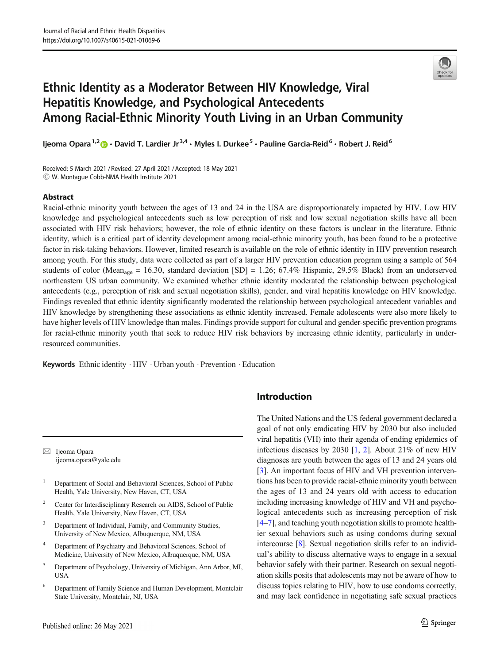

# Ethnic Identity as a Moderator Between HIV Knowledge, Viral Hepatitis Knowledge, and Psychological Antecedents Among Racial-Ethnic Minority Youth Living in an Urban Community

Ijeoma Opara<sup>1,2</sup>  $\bullet$  · David T. Lardier Jr<sup>3,4</sup> · Myles I. Durkee<sup>5</sup> · Pauline Garcia-Reid<sup>6</sup> · Robert J. Reid<sup>6</sup>

Received: 5 March 2021 / Revised: 27 April 2021 /Accepted: 18 May 2021  $\odot$  W. Montague Cobb-NMA Health Institute 2021

### Abstract

Racial-ethnic minority youth between the ages of 13 and 24 in the USA are disproportionately impacted by HIV. Low HIV knowledge and psychological antecedents such as low perception of risk and low sexual negotiation skills have all been associated with HIV risk behaviors; however, the role of ethnic identity on these factors is unclear in the literature. Ethnic identity, which is a critical part of identity development among racial-ethnic minority youth, has been found to be a protective factor in risk-taking behaviors. However, limited research is available on the role of ethnic identity in HIV prevention research among youth. For this study, data were collected as part of a larger HIV prevention education program using a sample of 564 students of color (Mean<sub>age</sub> = 16.30, standard deviation [SD] = 1.26; 67.4% Hispanic, 29.5% Black) from an underserved northeastern US urban community. We examined whether ethnic identity moderated the relationship between psychological antecedents (e.g., perception of risk and sexual negotiation skills), gender, and viral hepatitis knowledge on HIV knowledge. Findings revealed that ethnic identity significantly moderated the relationship between psychological antecedent variables and HIV knowledge by strengthening these associations as ethnic identity increased. Female adolescents were also more likely to have higher levels of HIV knowledge than males. Findings provide support for cultural and gender-specific prevention programs for racial-ethnic minority youth that seek to reduce HIV risk behaviors by increasing ethnic identity, particularly in underresourced communities.

Keywords Ethnic identity . HIV . Urban youth . Prevention . Education

 $\boxtimes$  Ijeoma Opara [ijeoma.opara@yale.edu](mailto:ijeoma.opara@yale.edu)

- <sup>1</sup> Department of Social and Behavioral Sciences, School of Public Health, Yale University, New Haven, CT, USA
- <sup>2</sup> Center for Interdisciplinary Research on AIDS, School of Public Health, Yale University, New Haven, CT, USA
- <sup>3</sup> Department of Individual, Family, and Community Studies, University of New Mexico, Albuquerque, NM, USA
- Department of Psychiatry and Behavioral Sciences, School of Medicine, University of New Mexico, Albuquerque, NM, USA
- <sup>5</sup> Department of Psychology, University of Michigan, Ann Arbor, MI, USA
- <sup>6</sup> Department of Family Science and Human Development, Montclair State University, Montclair, NJ, USA

# Introduction

The United Nations and the US federal government declared a goal of not only eradicating HIV by 2030 but also included viral hepatitis (VH) into their agenda of ending epidemics of infectious diseases by 2030  $[1, 2]$  $[1, 2]$  $[1, 2]$  $[1, 2]$ . About 21% of new HIV diagnoses are youth between the ages of 13 and 24 years old [\[3](#page-7-0)]. An important focus of HIV and VH prevention interventions has been to provide racial-ethnic minority youth between the ages of 13 and 24 years old with access to education including increasing knowledge of HIV and VH and psychological antecedents such as increasing perception of risk [\[4](#page-7-0)–[7\]](#page-7-0), and teaching youth negotiation skills to promote healthier sexual behaviors such as using condoms during sexual intercourse [\[8](#page-7-0)]. Sexual negotiation skills refer to an individual's ability to discuss alternative ways to engage in a sexual behavior safely with their partner. Research on sexual negotiation skills posits that adolescents may not be aware of how to discuss topics relating to HIV, how to use condoms correctly, and may lack confidence in negotiating safe sexual practices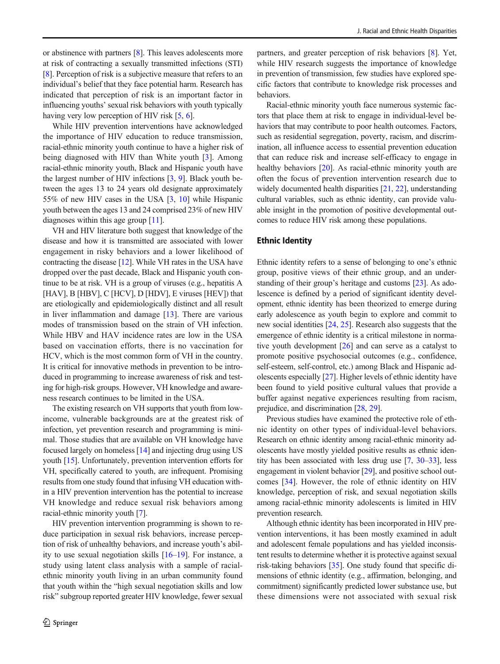or abstinence with partners [\[8\]](#page-7-0). This leaves adolescents more at risk of contracting a sexually transmitted infections (STI) [\[8](#page-7-0)]. Perception of risk is a subjective measure that refers to an individual's belief that they face potential harm. Research has indicated that perception of risk is an important factor in influencing youths' sexual risk behaviors with youth typically having very low perception of HIV risk [[5](#page-7-0), [6](#page-7-0)].

While HIV prevention interventions have acknowledged the importance of HIV education to reduce transmission, racial-ethnic minority youth continue to have a higher risk of being diagnosed with HIV than White youth [\[3](#page-7-0)]. Among racial-ethnic minority youth, Black and Hispanic youth have the largest number of HIV infections  $[3, 9]$  $[3, 9]$  $[3, 9]$  $[3, 9]$ . Black youth between the ages 13 to 24 years old designate approximately 55% of new HIV cases in the USA [\[3,](#page-7-0) [10\]](#page-7-0) while Hispanic youth between the ages 13 and 24 comprised 23% of new HIV diagnoses within this age group [\[11](#page-7-0)].

VH and HIV literature both suggest that knowledge of the disease and how it is transmitted are associated with lower engagement in risky behaviors and a lower likelihood of contracting the disease [\[12\]](#page-7-0). While VH rates in the USA have dropped over the past decade, Black and Hispanic youth continue to be at risk. VH is a group of viruses (e.g., hepatitis A [HAV], B [HBV], C [HCV], D [HDV], E viruses [HEV]) that are etiologically and epidemiologically distinct and all result in liver inflammation and damage [[13\]](#page-8-0). There are various modes of transmission based on the strain of VH infection. While HBV and HAV incidence rates are low in the USA based on vaccination efforts, there is no vaccination for HCV, which is the most common form of VH in the country. It is critical for innovative methods in prevention to be introduced in programming to increase awareness of risk and testing for high-risk groups. However, VH knowledge and awareness research continues to be limited in the USA.

The existing research on VH supports that youth from lowincome, vulnerable backgrounds are at the greatest risk of infection, yet prevention research and programming is minimal. Those studies that are available on VH knowledge have focused largely on homeless [[14\]](#page-8-0) and injecting drug using US youth [\[15\]](#page-8-0). Unfortunately, prevention intervention efforts for VH, specifically catered to youth, are infrequent. Promising results from one study found that infusing VH education within a HIV prevention intervention has the potential to increase VH knowledge and reduce sexual risk behaviors among racial-ethnic minority youth [\[7](#page-7-0)].

HIV prevention intervention programming is shown to reduce participation in sexual risk behaviors, increase perception of risk of unhealthy behaviors, and increase youth's ability to use sexual negotiation skills [[16](#page-8-0)–[19](#page-8-0)]. For instance, a study using latent class analysis with a sample of racialethnic minority youth living in an urban community found that youth within the "high sexual negotiation skills and low risk" subgroup reported greater HIV knowledge, fewer sexual

partners, and greater perception of risk behaviors [\[8](#page-7-0)]. Yet, while HIV research suggests the importance of knowledge in prevention of transmission, few studies have explored specific factors that contribute to knowledge risk processes and behaviors.

Racial-ethnic minority youth face numerous systemic factors that place them at risk to engage in individual-level behaviors that may contribute to poor health outcomes. Factors, such as residential segregation, poverty, racism, and discrimination, all influence access to essential prevention education that can reduce risk and increase self-efficacy to engage in healthy behaviors [\[20](#page-8-0)]. As racial-ethnic minority youth are often the focus of prevention intervention research due to widely documented health disparities [[21](#page-8-0), [22](#page-8-0)], understanding cultural variables, such as ethnic identity, can provide valuable insight in the promotion of positive developmental outcomes to reduce HIV risk among these populations.

### Ethnic Identity

Ethnic identity refers to a sense of belonging to one's ethnic group, positive views of their ethnic group, and an understanding of their group's heritage and customs [[23\]](#page-8-0). As adolescence is defined by a period of significant identity development, ethnic identity has been theorized to emerge during early adolescence as youth begin to explore and commit to new social identities [[24,](#page-8-0) [25\]](#page-8-0). Research also suggests that the emergence of ethnic identity is a critical milestone in normative youth development [[26](#page-8-0)] and can serve as a catalyst to promote positive psychosocial outcomes (e.g., confidence, self-esteem, self-control, etc.) among Black and Hispanic adolescents especially [\[27](#page-8-0)]. Higher levels of ethnic identity have been found to yield positive cultural values that provide a buffer against negative experiences resulting from racism, prejudice, and discrimination [\[28,](#page-8-0) [29\]](#page-8-0).

Previous studies have examined the protective role of ethnic identity on other types of individual-level behaviors. Research on ethnic identity among racial-ethnic minority adolescents have mostly yielded positive results as ethnic identity has been associated with less drug use [\[7,](#page-7-0) [30](#page-8-0)–[33](#page-8-0)], less engagement in violent behavior [[29\]](#page-8-0), and positive school outcomes [[34](#page-8-0)]. However, the role of ethnic identity on HIV knowledge, perception of risk, and sexual negotiation skills among racial-ethnic minority adolescents is limited in HIV prevention research.

Although ethnic identity has been incorporated in HIV prevention interventions, it has been mostly examined in adult and adolescent female populations and has yielded inconsistent results to determine whether it is protective against sexual risk-taking behaviors [[35\]](#page-8-0). One study found that specific dimensions of ethnic identity (e.g., affirmation, belonging, and commitment) significantly predicted lower substance use, but these dimensions were not associated with sexual risk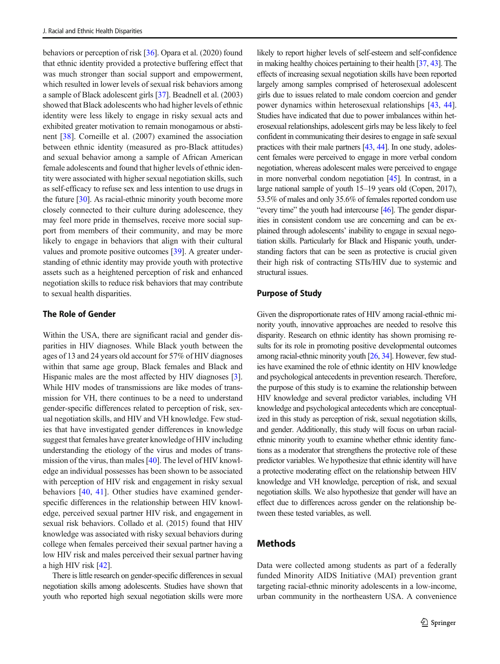behaviors or perception of risk [\[36\]](#page-8-0). Opara et al. (2020) found that ethnic identity provided a protective buffering effect that was much stronger than social support and empowerment, which resulted in lower levels of sexual risk behaviors among a sample of Black adolescent girls [\[37\]](#page-8-0). Beadnell et al. (2003) showed that Black adolescents who had higher levels of ethnic identity were less likely to engage in risky sexual acts and exhibited greater motivation to remain monogamous or abstinent [[38\]](#page-8-0). Corneille et al. (2007) examined the association between ethnic identity (measured as pro-Black attitudes) and sexual behavior among a sample of African American female adolescents and found that higher levels of ethnic identity were associated with higher sexual negotiation skills, such as self-efficacy to refuse sex and less intention to use drugs in the future [\[30\]](#page-8-0). As racial-ethnic minority youth become more closely connected to their culture during adolescence, they may feel more pride in themselves, receive more social support from members of their community, and may be more likely to engage in behaviors that align with their cultural values and promote positive outcomes [[39](#page-8-0)]. A greater understanding of ethnic identity may provide youth with protective assets such as a heightened perception of risk and enhanced negotiation skills to reduce risk behaviors that may contribute to sexual health disparities.

### The Role of Gender

Within the USA, there are significant racial and gender disparities in HIV diagnoses. While Black youth between the ages of 13 and 24 years old account for 57% of HIV diagnoses within that same age group, Black females and Black and Hispanic males are the most affected by HIV diagnoses [[3\]](#page-7-0). While HIV modes of transmissions are like modes of transmission for VH, there continues to be a need to understand gender-specific differences related to perception of risk, sexual negotiation skills, and HIV and VH knowledge. Few studies that have investigated gender differences in knowledge suggest that females have greater knowledge of HIV including understanding the etiology of the virus and modes of transmission of the virus, than males [\[40\]](#page-8-0). The level of HIV knowledge an individual possesses has been shown to be associated with perception of HIV risk and engagement in risky sexual behaviors [\[40,](#page-8-0) [41](#page-8-0)]. Other studies have examined genderspecific differences in the relationship between HIV knowledge, perceived sexual partner HIV risk, and engagement in sexual risk behaviors. Collado et al. (2015) found that HIV knowledge was associated with risky sexual behaviors during college when females perceived their sexual partner having a low HIV risk and males perceived their sexual partner having a high HIV risk [\[42\]](#page-8-0).

There is little research on gender-specific differences in sexual negotiation skills among adolescents. Studies have shown that youth who reported high sexual negotiation skills were more

likely to report higher levels of self-esteem and self-confidence in making healthy choices pertaining to their health [\[37](#page-8-0), [43](#page-8-0)]. The effects of increasing sexual negotiation skills have been reported largely among samples comprised of heterosexual adolescent girls due to issues related to male condom coercion and gender power dynamics within heterosexual relationships [[43,](#page-8-0) [44\]](#page-8-0). Studies have indicated that due to power imbalances within heterosexual relationships, adolescent girls may be less likely to feel confident in communicating their desires to engage in safe sexual practices with their male partners [\[43](#page-8-0), [44](#page-8-0)]. In one study, adolescent females were perceived to engage in more verbal condom negotiation, whereas adolescent males were perceived to engage in more nonverbal condom negotiation [\[45](#page-9-0)]. In contrast, in a large national sample of youth 15–19 years old (Copen, 2017), 53.5% of males and only 35.6% of females reported condom use "every time" the youth had intercourse [\[46\]](#page-9-0). The gender disparities in consistent condom use are concerning and can be explained through adolescents' inability to engage in sexual negotiation skills. Particularly for Black and Hispanic youth, understanding factors that can be seen as protective is crucial given their high risk of contracting STIs/HIV due to systemic and structural issues.

### Purpose of Study

Given the disproportionate rates of HIV among racial-ethnic minority youth, innovative approaches are needed to resolve this disparity. Research on ethnic identity has shown promising results for its role in promoting positive developmental outcomes among racial-ethnic minority youth [\[26](#page-8-0), [34](#page-8-0)]. However, few studies have examined the role of ethnic identity on HIV knowledge and psychological antecedents in prevention research. Therefore, the purpose of this study is to examine the relationship between HIV knowledge and several predictor variables, including VH knowledge and psychological antecedents which are conceptualized in this study as perception of risk, sexual negotiation skills, and gender. Additionally, this study will focus on urban racialethnic minority youth to examine whether ethnic identity functions as a moderator that strengthens the protective role of these predictor variables. We hypothesize that ethnic identity will have a protective moderating effect on the relationship between HIV knowledge and VH knowledge, perception of risk, and sexual negotiation skills. We also hypothesize that gender will have an effect due to differences across gender on the relationship between these tested variables, as well.

# Methods

Data were collected among students as part of a federally funded Minority AIDS Initiative (MAI) prevention grant targeting racial-ethnic minority adolescents in a low-income, urban community in the northeastern USA. A convenience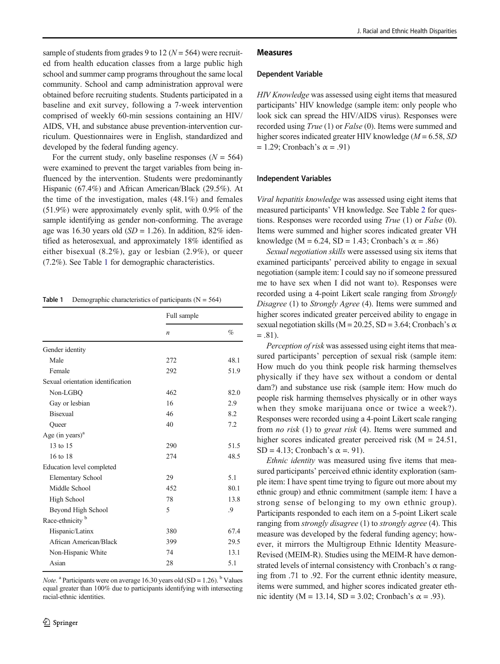sample of students from grades 9 to 12 ( $N = 564$ ) were recruited from health education classes from a large public high school and summer camp programs throughout the same local community. School and camp administration approval were obtained before recruiting students. Students participated in a baseline and exit survey, following a 7-week intervention comprised of weekly 60-min sessions containing an HIV/ AIDS, VH, and substance abuse prevention-intervention curriculum. Questionnaires were in English, standardized and developed by the federal funding agency.

For the current study, only baseline responses  $(N = 564)$ were examined to prevent the target variables from being influenced by the intervention. Students were predominantly Hispanic (67.4%) and African American/Black (29.5%). At the time of the investigation, males  $(48.1\%)$  and females (51.9%) were approximately evenly split, with 0.9% of the sample identifying as gender non-conforming. The average age was 16.30 years old  $(SD = 1.26)$ . In addition, 82% identified as heterosexual, and approximately 18% identified as either bisexual (8.2%), gay or lesbian (2.9%), or queer (7.2%). See Table 1 for demographic characteristics.

**Table 1** Demographic characteristics of participants  $(N = 564)$ 

|                                   | Full sample |      |  |
|-----------------------------------|-------------|------|--|
|                                   | n           | $\%$ |  |
| Gender identity                   |             |      |  |
| Male                              | 272         | 48.1 |  |
| Female                            | 292         | 51.9 |  |
| Sexual orientation identification |             |      |  |
| Non-LGBQ                          | 462         | 82.0 |  |
| Gay or lesbian                    | 16          | 2.9  |  |
| <b>Bisexual</b>                   | 46          | 8.2  |  |
| Queer                             | 40          | 7.2  |  |
| Age (in years) $a$                |             |      |  |
| 13 to 15                          | 290         | 51.5 |  |
| 16 to 18                          | 274         | 48.5 |  |
| Education level completed         |             |      |  |
| <b>Elementary School</b>          | 29          | 5.1  |  |
| Middle School                     | 452         | 80.1 |  |
| High School                       | 78          | 13.8 |  |
| Beyond High School                | 5           | .9   |  |
| Race-ethnicity <sup>b</sup>       |             |      |  |
| Hispanic/Latinx                   | 380         | 67.4 |  |
| African American/Black            | 399         | 29.5 |  |
| Non-Hispanic White                | 74          | 13.1 |  |
| Asian                             | 28          | 5.1  |  |

*Note*. <sup>a</sup> Participants were on average 16.30 years old (SD = 1.26). <sup>b</sup> Values equal greater than 100% due to participants identifying with intersecting racial-ethnic identities.

#### Measures

#### Dependent Variable

HIV Knowledge was assessed using eight items that measured participants' HIV knowledge (sample item: only people who look sick can spread the HIV/AIDS virus). Responses were recorded using *True* (1) or *False* (0). Items were summed and higher scores indicated greater HIV knowledge ( $M = 6.58$ , SD  $= 1.29$ ; Cronbach's  $\alpha = .91$ )

#### Independent Variables

Viral hepatitis knowledge was assessed using eight items that measured participants' VH knowledge. See Table [2](#page-4-0) for questions. Responses were recorded using True (1) or False (0). Items were summed and higher scores indicated greater VH knowledge (M = 6.24, SD = 1.43; Cronbach's  $\alpha$  = .86)

Sexual negotiation skills were assessed using six items that examined participants' perceived ability to engage in sexual negotiation (sample item: I could say no if someone pressured me to have sex when I did not want to). Responses were recorded using a 4-point Likert scale ranging from Strongly Disagree (1) to Strongly Agree (4). Items were summed and higher scores indicated greater perceived ability to engage in sexual negotiation skills ( $M = 20.25$ , SD = 3.64; Cronbach's  $\alpha$  $=.81).$ 

Perception of risk was assessed using eight items that measured participants' perception of sexual risk (sample item: How much do you think people risk harming themselves physically if they have sex without a condom or dental dam?) and substance use risk (sample item: How much do people risk harming themselves physically or in other ways when they smoke marijuana once or twice a week?). Responses were recorded using a 4-point Likert scale ranging from *no risk* (1) to great risk (4). Items were summed and higher scores indicated greater perceived risk (M = 24.51, SD = 4.13; Cronbach's  $\alpha$  = 91).

Ethnic identity was measured using five items that measured participants' perceived ethnic identity exploration (sample item: I have spent time trying to figure out more about my ethnic group) and ethnic commitment (sample item: I have a strong sense of belonging to my own ethnic group). Participants responded to each item on a 5-point Likert scale ranging from *strongly disagree* (1) to *strongly agree* (4). This measure was developed by the federal funding agency; however, it mirrors the Multigroup Ethnic Identity Measure-Revised (MEIM-R). Studies using the MEIM-R have demonstrated levels of internal consistency with Cronbach's  $\alpha$  ranging from .71 to .92. For the current ethnic identity measure, items were summed, and higher scores indicated greater ethnic identity (M = 13.14, SD = 3.02; Cronbach's  $\alpha$  = .93).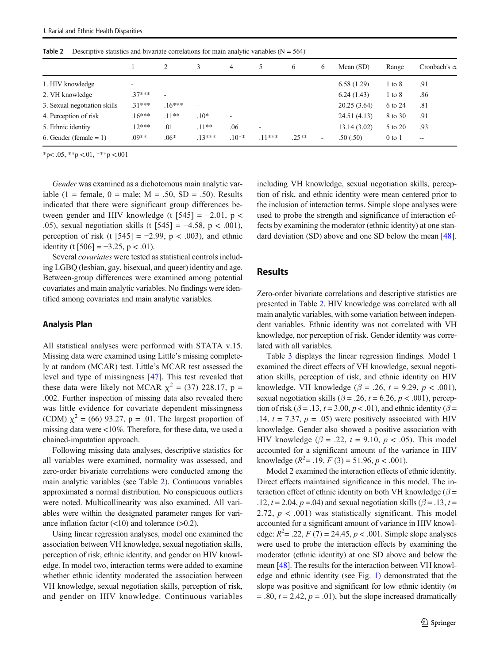| 3<br>Mean $(SD)$<br>4<br>Range<br>6<br>6<br>6.58(1.29)<br>1. HIV knowledge<br>.91<br>$1 \text{ to } 8$<br>۰<br>$.37***$<br>6.24(1.43)<br>.86<br>$1$ to $8$<br>٠<br>$.16***$<br>$31***$<br>20.25(3.64)<br>6 to 24<br>.81<br>۰<br>$16***$<br>$.11***$<br>$.10*$<br>24.51(4.13)<br>.91<br>8 to 30<br>٠<br>5. Ethnic identity<br>$.12***$<br>$.11**$<br>13.14(3.02)<br>.01<br>.06<br>5 to 20<br>.93<br>٠<br>$.13***$<br>$.09**$<br>$.06*$<br>$.25**$<br>$.10**$<br>$.11***$<br>6. Gender (female $= 1$ )<br>.50(.50)<br>$0$ to $1$<br>٠<br>$-\!$ |  |  |  |  |  |  |  |                     |
|----------------------------------------------------------------------------------------------------------------------------------------------------------------------------------------------------------------------------------------------------------------------------------------------------------------------------------------------------------------------------------------------------------------------------------------------------------------------------------------------------------------------------------------------|--|--|--|--|--|--|--|---------------------|
| 2. VH knowledge<br>3. Sexual negotiation skills<br>4. Perception of risk                                                                                                                                                                                                                                                                                                                                                                                                                                                                     |  |  |  |  |  |  |  | Cronbach's $\alpha$ |
|                                                                                                                                                                                                                                                                                                                                                                                                                                                                                                                                              |  |  |  |  |  |  |  |                     |
|                                                                                                                                                                                                                                                                                                                                                                                                                                                                                                                                              |  |  |  |  |  |  |  |                     |
|                                                                                                                                                                                                                                                                                                                                                                                                                                                                                                                                              |  |  |  |  |  |  |  |                     |
|                                                                                                                                                                                                                                                                                                                                                                                                                                                                                                                                              |  |  |  |  |  |  |  |                     |
|                                                                                                                                                                                                                                                                                                                                                                                                                                                                                                                                              |  |  |  |  |  |  |  |                     |
|                                                                                                                                                                                                                                                                                                                                                                                                                                                                                                                                              |  |  |  |  |  |  |  |                     |

<span id="page-4-0"></span>**Table 2** Descriptive statistics and bivariate correlations for main analytic variables  $(N = 564)$ 

 $*<sub>p</sub> < .05, **<sub>p</sub> < .01, **<sub>p</sub> < .001$ 

Gender was examined as a dichotomous main analytic variable (1 = female,  $0 =$  male;  $M = .50$ ,  $SD = .50$ ). Results indicated that there were significant group differences between gender and HIV knowledge (t  $[545] = -2.01$ , p < .05), sexual negotiation skills (t  $[545] = -4.58$ , p < .001), perception of risk (t  $[545] = -2.99$ , p < .003), and ethnic identity (t [506] =  $-3.25$ , p < .01).

Several covariates were tested as statistical controls including LGBQ (lesbian, gay, bisexual, and queer) identity and age. Between-group differences were examined among potential covariates and main analytic variables. No findings were identified among covariates and main analytic variables.

### Analysis Plan

All statistical analyses were performed with STATA v.15. Missing data were examined using Little's missing completely at random (MCAR) test. Little's MCAR test assessed the level and type of missingness [\[47](#page-9-0)]. This test revealed that these data were likely not MCAR  $\chi^2$  = (37) 228.17, p = .002. Further inspection of missing data also revealed there was little evidence for covariate dependent missingness (CDM)  $\chi^2$  = (66) 93.27, p = .01. The largest proportion of missing data were <10%. Therefore, for these data, we used a chained-imputation approach.

Following missing data analyses, descriptive statistics for all variables were examined, normality was assessed, and zero-order bivariate correlations were conducted among the main analytic variables (see Table 2). Continuous variables approximated a normal distribution. No conspicuous outliers were noted. Multicollinearity was also examined. All variables were within the designated parameter ranges for variance inflation factor  $(<10$ ) and tolerance  $(>0.2)$ .

Using linear regression analyses, model one examined the association between VH knowledge, sexual negotiation skills, perception of risk, ethnic identity, and gender on HIV knowledge. In model two, interaction terms were added to examine whether ethnic identity moderated the association between VH knowledge, sexual negotiation skills, perception of risk, and gender on HIV knowledge. Continuous variables including VH knowledge, sexual negotiation skills, perception of risk, and ethnic identity were mean centered prior to the inclusion of interaction terms. Simple slope analyses were used to probe the strength and significance of interaction effects by examining the moderator (ethnic identity) at one standard deviation (SD) above and one SD below the mean [\[48](#page-9-0)].

# **Results**

Zero-order bivariate correlations and descriptive statistics are presented in Table 2. HIV knowledge was correlated with all main analytic variables, with some variation between independent variables. Ethnic identity was not correlated with VH knowledge, nor perception of risk. Gender identity was correlated with all variables.

Table [3](#page-5-0) displays the linear regression findings. Model 1 examined the direct effects of VH knowledge, sexual negotiation skills, perception of risk, and ethnic identity on HIV knowledge. VH knowledge ( $\beta$  = .26, t = 9.29, p < .001), sexual negotiation skills ( $\beta$  = .26, t = 6.26, p < .001), perception of risk ( $\beta$  = .13, t = 3.00, p < .01), and ethnic identity ( $\beta$  = .14,  $t = 7.37$ ,  $p = .05$ ) were positively associated with HIV knowledge. Gender also showed a positive association with HIV knowledge ( $\beta$  = .22, t = 9.10, p < .05). This model accounted for a significant amount of the variance in HIV knowledge  $(R^2 = .19, F(3) = 51.96, p < .001)$ .

Model 2 examined the interaction effects of ethnic identity. Direct effects maintained significance in this model. The interaction effect of ethnic identity on both VH knowledge ( $\beta$  = .12,  $t = 2.04$ ,  $p = .04$ ) and sexual negotiation skills ( $\beta = .13$ ,  $t =$ 2.72,  $p < .001$ ) was statistically significant. This model accounted for a significant amount of variance in HIV knowledge:  $R^2 = .22$ ,  $F(7) = 24.45$ ,  $p < .001$ . Simple slope analyses were used to probe the interaction effects by examining the moderator (ethnic identity) at one SD above and below the mean [[48](#page-9-0)]. The results for the interaction between VH knowledge and ethnic identity (see Fig. [1\)](#page-5-0) demonstrated that the slope was positive and significant for low ethnic identity (*m*  $= .80, t = 2.42, p = .01$ , but the slope increased dramatically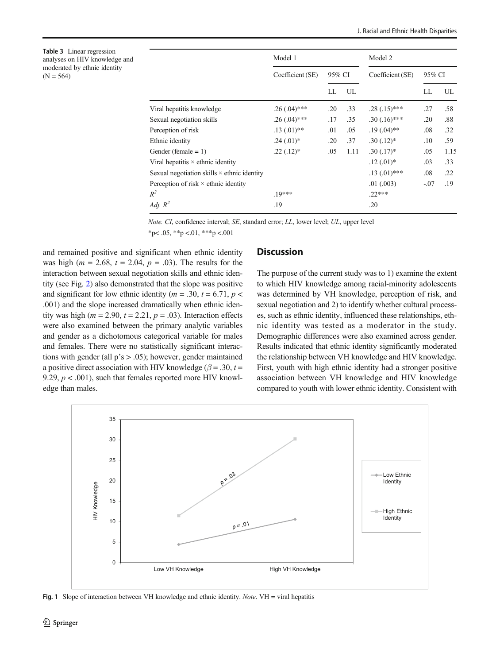<span id="page-5-0"></span>Table 3 Linear regression analyses on HIV knowledge and moderated by ethnic identity  $(N = 564)$ 

|                                                    | Model 1          |        | Model 2 |                  |        |      |  |
|----------------------------------------------------|------------------|--------|---------|------------------|--------|------|--|
|                                                    | Coefficient (SE) | 95% CI |         | Coefficient (SE) | 95% CI |      |  |
|                                                    |                  | LL     | UL      |                  | LL     | UL   |  |
| Viral hepatitis knowledge                          | $.26(.04)$ ***   | .20    | .33     | $.28(.15)$ ***   | .27    | .58  |  |
| Sexual negotiation skills                          | $.26(.04)$ ***   | .17    | .35     | $.30(.16)$ ***   | .20    | .88  |  |
| Perception of risk                                 | $.13(0.01)$ **   | .01    | .05     | $.19(.04)$ **    | .08    | .32  |  |
| Ethnic identity                                    | $.24(.01)$ *     | .20    | .37     | $.30(.12)*$      | .10    | .59  |  |
| Gender (female $= 1$ )                             | $.22(.12)^*$     | .05    | 1.11    | $.30(.17)$ *     | .05    | 1.15 |  |
| Viral hepatitis $\times$ ethnic identity           |                  |        |         | $.12(01)*$       | .03    | .33  |  |
| Sexual negotiation skills $\times$ ethnic identity |                  |        |         | $.13(01)$ ***    | .08    | .22  |  |
| Perception of risk $\times$ ethnic identity        |                  |        |         | $.01 \; (.003)$  | $-.07$ | .19  |  |
| $R^2$                                              | $.19***$         |        |         | $22***$          |        |      |  |
| Adj. $R^2$                                         | .19              |        |         | .20              |        |      |  |
|                                                    |                  |        |         |                  |        |      |  |

Note. CI, confidence interval; SE, standard error; LL, lower level; UL, upper level  $*p$  < .05,  $*p$  < .01,  $***p$  < .001

and remained positive and significant when ethnic identity was high ( $m = 2.68$ ,  $t = 2.04$ ,  $p = .03$ ). The results for the interaction between sexual negotiation skills and ethnic identity (see Fig. [2](#page-6-0)) also demonstrated that the slope was positive and significant for low ethnic identity ( $m = .30$ ,  $t = 6.71$ ,  $p <$ .001) and the slope increased dramatically when ethnic identity was high ( $m = 2.90$ ,  $t = 2.21$ ,  $p = .03$ ). Interaction effects were also examined between the primary analytic variables and gender as a dichotomous categorical variable for males and females. There were no statistically significant interactions with gender (all p's > .05); however, gender maintained a positive direct association with HIV knowledge ( $\beta$  = .30, t = 9.29,  $p < .001$ ), such that females reported more HIV knowledge than males.

# **Discussion**

The purpose of the current study was to 1) examine the extent to which HIV knowledge among racial-minority adolescents was determined by VH knowledge, perception of risk, and sexual negotiation and 2) to identify whether cultural processes, such as ethnic identity, influenced these relationships, ethnic identity was tested as a moderator in the study. Demographic differences were also examined across gender. Results indicated that ethnic identity significantly moderated the relationship between VH knowledge and HIV knowledge. First, youth with high ethnic identity had a stronger positive association between VH knowledge and HIV knowledge compared to youth with lower ethnic identity. Consistent with



Fig. 1 Slope of interaction between VH knowledge and ethnic identity. Note. VH = viral hepatitis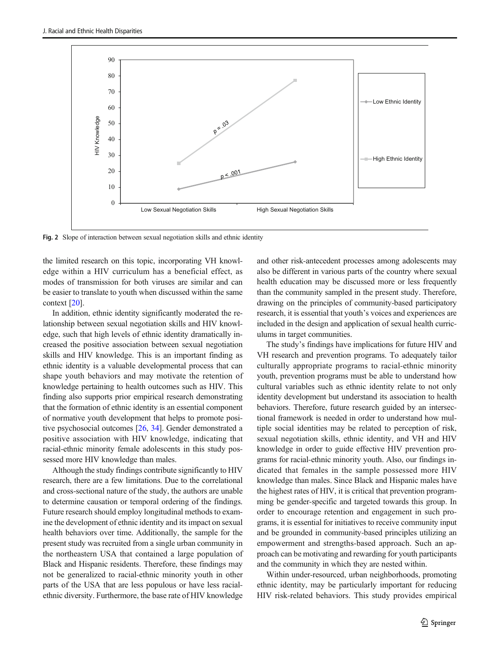<span id="page-6-0"></span>

Fig. 2 Slope of interaction between sexual negotiation skills and ethnic identity

the limited research on this topic, incorporating VH knowledge within a HIV curriculum has a beneficial effect, as modes of transmission for both viruses are similar and can be easier to translate to youth when discussed within the same context [\[20](#page-8-0)].

In addition, ethnic identity significantly moderated the relationship between sexual negotiation skills and HIV knowledge, such that high levels of ethnic identity dramatically increased the positive association between sexual negotiation skills and HIV knowledge. This is an important finding as ethnic identity is a valuable developmental process that can shape youth behaviors and may motivate the retention of knowledge pertaining to health outcomes such as HIV. This finding also supports prior empirical research demonstrating that the formation of ethnic identity is an essential component of normative youth development that helps to promote positive psychosocial outcomes [[26](#page-8-0), [34\]](#page-8-0). Gender demonstrated a positive association with HIV knowledge, indicating that racial-ethnic minority female adolescents in this study possessed more HIV knowledge than males.

Although the study findings contribute significantly to HIV research, there are a few limitations. Due to the correlational and cross-sectional nature of the study, the authors are unable to determine causation or temporal ordering of the findings. Future research should employ longitudinal methods to examine the development of ethnic identity and its impact on sexual health behaviors over time. Additionally, the sample for the present study was recruited from a single urban community in the northeastern USA that contained a large population of Black and Hispanic residents. Therefore, these findings may not be generalized to racial-ethnic minority youth in other parts of the USA that are less populous or have less racialethnic diversity. Furthermore, the base rate of HIV knowledge and other risk-antecedent processes among adolescents may also be different in various parts of the country where sexual health education may be discussed more or less frequently than the community sampled in the present study. Therefore, drawing on the principles of community-based participatory research, it is essential that youth's voices and experiences are included in the design and application of sexual health curriculums in target communities.

The study's findings have implications for future HIV and VH research and prevention programs. To adequately tailor culturally appropriate programs to racial-ethnic minority youth, prevention programs must be able to understand how cultural variables such as ethnic identity relate to not only identity development but understand its association to health behaviors. Therefore, future research guided by an intersectional framework is needed in order to understand how multiple social identities may be related to perception of risk, sexual negotiation skills, ethnic identity, and VH and HIV knowledge in order to guide effective HIV prevention programs for racial-ethnic minority youth. Also, our findings indicated that females in the sample possessed more HIV knowledge than males. Since Black and Hispanic males have the highest rates of HIV, it is critical that prevention programming be gender-specific and targeted towards this group. In order to encourage retention and engagement in such programs, it is essential for initiatives to receive community input and be grounded in community-based principles utilizing an empowerment and strengths-based approach. Such an approach can be motivating and rewarding for youth participants and the community in which they are nested within.

Within under-resourced, urban neighborhoods, promoting ethnic identity, may be particularly important for reducing HIV risk-related behaviors. This study provides empirical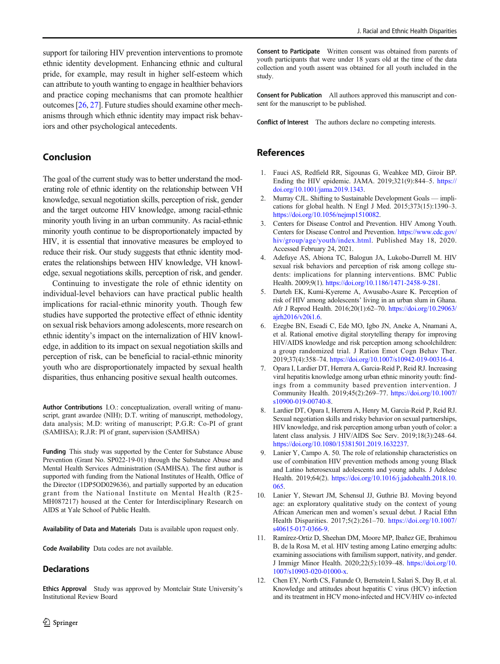<span id="page-7-0"></span>support for tailoring HIV prevention interventions to promote ethnic identity development. Enhancing ethnic and cultural pride, for example, may result in higher self-esteem which can attribute to youth wanting to engage in healthier behaviors and practice coping mechanisms that can promote healthier outcomes [\[26](#page-8-0), [27](#page-8-0)]. Future studies should examine other mechanisms through which ethnic identity may impact risk behaviors and other psychological antecedents.

# Conclusion

The goal of the current study was to better understand the moderating role of ethnic identity on the relationship between VH knowledge, sexual negotiation skills, perception of risk, gender and the target outcome HIV knowledge, among racial-ethnic minority youth living in an urban community. As racial-ethnic minority youth continue to be disproportionately impacted by HIV, it is essential that innovative measures be employed to reduce their risk. Our study suggests that ethnic identity moderates the relationships between HIV knowledge, VH knowledge, sexual negotiations skills, perception of risk, and gender.

Continuing to investigate the role of ethnic identity on individual-level behaviors can have practical public health implications for racial-ethnic minority youth. Though few studies have supported the protective effect of ethnic identity on sexual risk behaviors among adolescents, more research on ethnic identity's impact on the internalization of HIV knowledge, in addition to its impact on sexual negotiation skills and perception of risk, can be beneficial to racial-ethnic minority youth who are disproportionately impacted by sexual health disparities, thus enhancing positive sexual health outcomes.

Author Contributions I.O.: conceptualization, overall writing of manuscript, grant awardee (NIH); D.T. writing of manuscript, methodology, data analysis; M.D: writing of manuscript; P.G.R: Co-PI of grant (SAMHSA); R.J.R: PI of grant, supervision (SAMHSA)

Funding This study was supported by the Center for Substance Abuse Prevention (Grant No. SP022-19-01) through the Substance Abuse and Mental Health Services Administration (SAMHSA). The first author is supported with funding from the National Institutes of Health, Office of the Director (1DP5OD029636), and partially supported by an education grant from the National Institute on Mental Health (R25- MH087217) housed at the Center for Interdisciplinary Research on AIDS at Yale School of Public Health.

Availability of Data and Materials Data is available upon request only.

Code Availability Data codes are not available.

# **Declarations**

Ethics Approval Study was approved by Montclair State University's Institutional Review Board

Consent to Participate Written consent was obtained from parents of youth participants that were under 18 years old at the time of the data collection and youth assent was obtained for all youth included in the study.

Consent for Publication All authors approved this manuscript and consent for the manuscript to be published.

Conflict of Interest The authors declare no competing interests.

### References

- 1. Fauci AS, Redfield RR, Sigounas G, Weahkee MD, Giroir BP. Ending the HIV epidemic. JAMA. 2019;321(9):844–5. [https://](https://doi.org/10.1001/jama.2019.1343) [doi.org/10.1001/jama.2019.1343](https://doi.org/10.1001/jama.2019.1343).
- 2. Murray CJL. Shifting to Sustainable Development Goals implications for global health. N Engl J Med. 2015;373(15):1390–3. [https://doi.org/10.1056/nejmp1510082.](https://doi.org/10.1056/nejmp1510082)
- 3. Centers for Disease Control and Prevention. HIV Among Youth. Centers for Disease Control and Prevention. [https://www.cdc.gov/](https://www.cdc.gov/hiv/group/age/youth/index.html) [hiv/group/age/youth/index.html.](https://www.cdc.gov/hiv/group/age/youth/index.html) Published May 18, 2020. Accessed February 24, 2021.
- 4. Adefuye AS, Abiona TC, Balogun JA, Lukobo-Durrell M. HIV sexual risk behaviors and perception of risk among college students: implications for planning interventions. BMC Public Health. 2009;9(1). [https://doi.org/10.1186/1471-2458-9-281.](https://doi.org/10.1186/1471-2458-9-281)
- 5. Darteh EK, Kumi-Kyereme A, Awusabo-Asare K. Perception of risk of HIV among adolescents' living in an urban slum in Ghana. Afr J Reprod Health. 2016;20(1):62–70. [https://doi.org/10.29063/](https://doi.org/10.29063/ajrh2016/v20i1.6) [ajrh2016/v20i1.6.](https://doi.org/10.29063/ajrh2016/v20i1.6)
- 6. Ezegbe BN, Eseadi C, Ede MO, Igbo JN, Aneke A, Nnamani A, et al. Rational emotive digital storytelling therapy for improving HIV/AIDS knowledge and risk perception among schoolchildren: a group randomized trial. J Ration Emot Cogn Behav Ther. 2019;37(4):358–74. <https://doi.org/10.1007/s10942-019-00316-4>.
- 7. Opara I, Lardier DT, Herrera A, Garcia-Reid P, Reid RJ. Increasing viral hepatitis knowledge among urban ethnic minority youth: findings from a community based prevention intervention. J Community Health. 2019;45(2):269–77. [https://doi.org/10.1007/](https://doi.org/10.1007/s10900-019-00740-8) [s10900-019-00740-8](https://doi.org/10.1007/s10900-019-00740-8).
- 8. Lardier DT, Opara I, Herrera A, Henry M, Garcia-Reid P, Reid RJ. Sexual negotiation skills and risky behavior on sexual partnerships, HIV knowledge, and risk perception among urban youth of color: a latent class analysis. J HIV/AIDS Soc Serv. 2019;18(3):248–64. [https://doi.org/10.1080/15381501.2019.1632237.](https://doi.org/10.1080/15381501.2019.1632237)
- 9. Lanier Y, Campo A. 50. The role of relationship characteristics on use of combination HIV prevention methods among young Black and Latino heterosexual adolescents and young adults. J Adolesc Health. 2019;64(2). [https://doi.org/10.1016/j.jadohealth.2018.10.](https://doi.org/10.1016/j.jadohealth.2018.10.065) [065.](https://doi.org/10.1016/j.jadohealth.2018.10.065)
- 10. Lanier Y, Stewart JM, Schensul JJ, Guthrie BJ. Moving beyond age: an exploratory qualitative study on the context of young African American men and women's sexual debut. J Racial Ethn Health Disparities. 2017;5(2):261–70. [https://doi.org/10.1007/](https://doi.org/10.1007/s40615-017-0366-9) [s40615-017-0366-9](https://doi.org/10.1007/s40615-017-0366-9).
- 11. Ramírez-Ortiz D, Sheehan DM, Moore MP, Ibañez GE, Ibrahimou B, de la Rosa M, et al. HIV testing among Latino emerging adults: examining associations with familism support, nativity, and gender. J Immigr Minor Health. 2020;22(5):1039–48. [https://doi.org/10.](https://doi.org/10.1007/s10903-020-01000-x) [1007/s10903-020-01000-x.](https://doi.org/10.1007/s10903-020-01000-x)
- 12. Chen EY, North CS, Fatunde O, Bernstein I, Salari S, Day B, et al. Knowledge and attitudes about hepatitis C virus (HCV) infection and its treatment in HCV mono-infected and HCV/HIV co-infected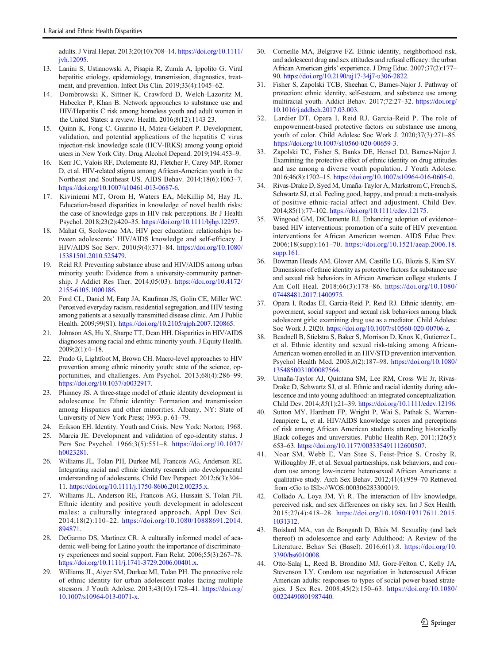<span id="page-8-0"></span>adults. J Viral Hepat. 2013;20(10):708–14. [https://doi.org/10.1111/](https://doi.org/10.1111/jvh.12095) [jvh.12095](https://doi.org/10.1111/jvh.12095).

- 13. Lanini S, Ustianowski A, Pisapia R, Zumla A, Ippolito G. Viral hepatitis: etiology, epidemiology, transmission, diagnostics, treatment, and prevention. Infect Dis Clin. 2019;33(4):1045–62.
- 14. Dombrowski K, Sittner K, Crawford D, Welch-Lazoritz M, Habecker P, Khan B. Network approaches to substance use and HIV/Hepatitis C risk among homeless youth and adult women in the United States: a review. Health. 2016;8(12):1143 23.
- 15. Quinn K, Fong C, Guarino H, Mateu-Gelabert P. Development, validation, and potential applications of the hepatitis C virus injection-risk knowledge scale (HCV-IRKS) among young opioid users in New York City. Drug Alcohol Depend. 2019;194:453–9.
- 16. Kerr JC, Valois RF, Diclemente RJ, Fletcher F, Carey MP, Romer D, et al. HIV-related stigma among African-American youth in the Northeast and Southeast US. AIDS Behav. 2014;18(6):1063–7. [https://doi.org/10.1007/s10461-013-0687-6.](https://doi.org/10.1007/s10461-013-0687-6)
- 17. Kiviniemi MT, Orom H, Waters EA, McKillip M, Hay JL. Education-based disparities in knowledge of novel health risks: the case of knowledge gaps in HIV risk perceptions. Br J Health Psychol. 2018;23(2):420–35. <https://doi.org/10.1111/bjhp.12297>.
- 18. Mahat G, Scoloveno MA. HIV peer education: relationships between adolescents' HIV/AIDS knowledge and self-efficacy. J HIV/AIDS Soc Serv. 2010;9(4):371–84. [https://doi.org/10.1080/](https://doi.org/10.1080/15381501.2010.525479) [15381501.2010.525479.](https://doi.org/10.1080/15381501.2010.525479)
- 19. Reid RJ. Preventing substance abuse and HIV/AIDS among urban minority youth: Evidence from a university-community partnership. J Addict Res Ther. 2014;05(03). [https://doi.org/10.4172/](https://doi.org/10.4172/2155-6105.1000186) [2155-6105.1000186.](https://doi.org/10.4172/2155-6105.1000186)
- 20. Ford CL, Daniel M, Earp JA, Kaufman JS, Golin CE, Miller WC. Perceived everyday racism, residential segregation, and HIV testing among patients at a sexually transmitted disease clinic. Am J Public Health. 2009;99(S1). [https://doi.org/10.2105/ajph.2007.120865.](https://doi.org/10.2105/ajph.2007.120865)
- 21. Johnson AS, Hu X, Sharpe TT, Dean HH. Disparities in HIV/AIDS diagnoses among racial and ethnic minority youth. J Equity Health. 2009;2(1):4–18.
- 22. Prado G, Lightfoot M, Brown CH. Macro-level approaches to HIV prevention among ethnic minority youth: state of the science, opportunities, and challenges. Am Psychol. 2013;68(4):286–99. [https://doi.org/10.1037/a0032917.](https://doi.org/10.1037/a0032917)
- 23. Phinney JS. A three-stage model of ethnic identity development in adolescence. In: Ethnic identity: Formation and transmission among Hispanics and other minorities. Albany, NY: State of University of New York Press; 1993. p. 61–79.
- 24. Erikson EH. Identity: Youth and Crisis. New York: Norton; 1968.
- 25. Marcia JE. Development and validation of ego-identity status. J Pers Soc Psychol. 1966;3(5):551–8. [https://doi.org/10.1037/](https://doi.org/10.1037/h0023281) [h0023281](https://doi.org/10.1037/h0023281).
- 26. Williams JL, Tolan PH, Durkee MI, Francois AG, Anderson RE. Integrating racial and ethnic identity research into developmental understanding of adolescents. Child Dev Perspect. 2012;6(3):304– 11. <https://doi.org/10.1111/j.1750-8606.2012.00235.x>.
- 27. Williams JL, Anderson RE, Francois AG, Hussain S, Tolan PH. Ethnic identity and positive youth development in adolescent males: a culturally integrated approach. Appl Dev Sci. 2014;18(2):110–22. [https://doi.org/10.1080/10888691.2014.](https://doi.org/10.1080/10888691.2014.894871) [894871.](https://doi.org/10.1080/10888691.2014.894871)
- 28. DeGarmo DS, Martinez CR. A culturally informed model of academic well-being for Latino youth: the importance of discriminatory experiences and social support. Fam Relat. 2006;55(3):267–78. <https://doi.org/10.1111/j.1741-3729.2006.00401.x>.
- 29. Williams JL, Aiyer SM, Durkee MI, Tolan PH. The protective role of ethnic identity for urban adolescent males facing multiple stressors. J Youth Adolesc. 2013;43(10):1728–41. [https://doi.org/](https://doi.org/10.1007/s10964-013-0071-x) [10.1007/s10964-013-0071-x.](https://doi.org/10.1007/s10964-013-0071-x)
- 30. Corneille MA, Belgrave FZ. Ethnic identity, neighborhood risk, and adolescent drug and sex attitudes and refusal efficacy: the urban African American girls' experience. J Drug Educ. 2007;37(2):177– 90. <https://doi.org/10.2190/uj17-34j7-u306-2822>.
- 31. Fisher S, Zapolski TCB, Sheehan C, Barnes-Najor J. Pathway of protection: ethnic identity, self-esteem, and substance use among multiracial youth. Addict Behav. 2017;72:27–32. [https://doi.org/](https://doi.org/10.1016/j.addbeh.2017.03.003) [10.1016/j.addbeh.2017.03.003](https://doi.org/10.1016/j.addbeh.2017.03.003).
- 32. Lardier DT, Opara I, Reid RJ, Garcia-Reid P. The role of empowerment-based protective factors on substance use among youth of color. Child Adolesc Soc Work J. 2020;37(3):271–85. <https://doi.org/10.1007/s10560-020-00659-3>.
- 33. Zapolski TC, Fisher S, Banks DE, Hensel DJ, Barnes-Najor J. Examining the protective effect of ethnic identity on drug attitudes and use among a diverse youth population. J Youth Adolesc. 2016;46(8):1702–15. <https://doi.org/10.1007/s10964-016-0605-0>.
- 34. Rivas-Drake D, Syed M, Umaña-Taylor A, Markstrom C, French S, Schwartz SJ, et al. Feeling good, happy, and proud: a meta-analysis of positive ethnic-racial affect and adjustment. Child Dev. 2014;85(1):77–102. <https://doi.org/10.1111/cdev.12175>.
- 35. Wingood GM, DiClemente RJ. Enhancing adoption of evidence– based HIV interventions: promotion of a suite of HIV prevention interventions for African American women. AIDS Educ Prev. 2006;18(supp):161–70. [https://doi.org/10.1521/aeap.2006.18.](https://doi.org/10.1521/aeap.2006.18.supp.161) [supp.161](https://doi.org/10.1521/aeap.2006.18.supp.161).
- 36. Bowman Heads AM, Glover AM, Castillo LG, Blozis S, Kim SY. Dimensions of ethnic identity as protective factors for substance use and sexual risk behaviors in African American college students. J Am Coll Heal. 2018;66(3):178–86. [https://doi.org/10.1080/](https://doi.org/10.1080/07448481.2017.1400975) [07448481.2017.1400975.](https://doi.org/10.1080/07448481.2017.1400975)
- 37. Opara I, Rodas EI, Garcia-Reid P, Reid RJ. Ethnic identity, empowerment, social support and sexual risk behaviors among black adolescent girls: examining drug use as a mediator. Child Adolesc Soc Work J. 2020. [https://doi.org/10.1007/s10560-020-00706-z.](https://doi.org/10.1007/s10560-020-00706-z)
- 38. Beadnell B, Stielstra S, Baker S, Morrison D, Knox K, Gutierrez L, et al. Ethnic identity and sexual risk-taking among African-American women enrolled in an HIV/STD prevention intervention. Psychol Health Med. 2003;8(2):187–98. [https://doi.org/10.1080/](https://doi.org/10.1080/1354850031000087564) [1354850031000087564.](https://doi.org/10.1080/1354850031000087564)
- 39. Umaña-Taylor AJ, Quintana SM, Lee RM, Cross WE Jr, Rivas-Drake D, Schwartz SJ, et al. Ethnic and racial identity during adolescence and into young adulthood: an integrated conceptualization. Child Dev. 2014;85(1):21–39. <https://doi.org/10.1111/cdev.12196>.
- 40. Sutton MY, Hardnett FP, Wright P, Wai S, Pathak S, Warren-Jeanpiere L, et al. HIV/AIDS knowledge scores and perceptions of risk among African American students attending historically Black colleges and universities. Public Health Rep. 2011;126(5): 653–63. <https://doi.org/10.1177/003335491112600507>.
- 41. Noar SM, Webb E, Van Stee S, Feist-Price S, Crosby R, Willoughby JF, et al. Sexual partnerships, risk behaviors, and condom use among low-income heterosexual African Americans: a qualitative study. Arch Sex Behav. 2012;41(4):959–70 Retrieved from <Go to ISI>://WOS:000306283300019.
- 42. Collado A, Loya JM, Yi R. The interaction of Hiv knowledge, perceived risk, and sex differences on risky sex. Int J Sex Health. 2015;27(4):418–28. [https://doi.org/10.1080/19317611.2015.](https://doi.org/10.1080/19317611.2015.1031312) [1031312](https://doi.org/10.1080/19317611.2015.1031312).
- 43. Boislard MA, van de Bongardt D, Blais M. Sexuality (and lack thereof) in adolescence and early Adulthood: A Review of the Literature. Behav Sci (Basel). 2016;6(1):8. [https://doi.org/10.](https://doi.org/10.3390/bs6010008) [3390/bs6010008](https://doi.org/10.3390/bs6010008).
- 44. Otto-Salaj L, Reed B, Brondino MJ, Gore-Felton C, Kelly JA, Stevenson LY. Condom use negotiation in heterosexual African American adults: responses to types of social power-based strategies. J Sex Res. 2008;45(2):150–63. [https://doi.org/10.1080/](https://doi.org/10.1080/00224490801987440) [00224490801987440.](https://doi.org/10.1080/00224490801987440)